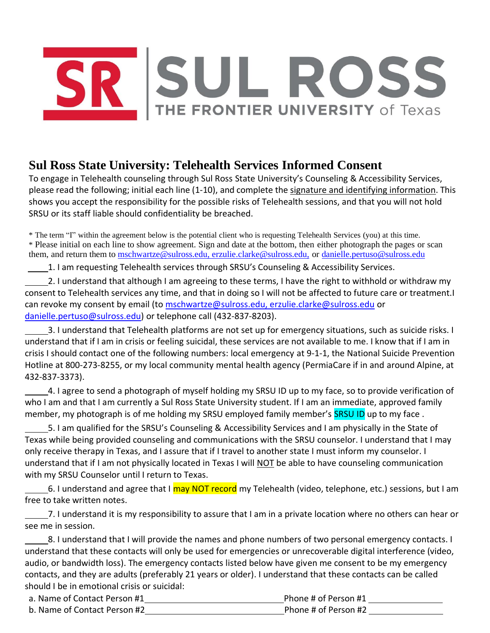## SUL ROSS<br>THE FRONTIER UNIVERSITY of Texas

## **Sul Ross State University: Telehealth Services Informed Consent**

To engage in Telehealth counseling through Sul Ross State University's Counseling & Accessibility Services, please read the following; initial each line (1-10), and complete the signature and identifying information. This shows you accept the responsibility for the possible risks of Telehealth sessions, and that you will not hold SRSU or its staff liable should confidentiality be breached.

\* The term "I" within the agreement below is the potential client who is requesting Telehealth Services (you) at this time. \* Please initial on each line to show agreement. Sign and date at the bottom, then either photograph the pages or scan them, and return them to [mschwartze@sulross.edu,](mailto:mschwartze@sulross.edu) erzulie.clarke@sulross.edu, or [danielle.pertuso@sulross.edu](mailto:danielle.pertuso@sulross.edu)

1. I am requesting Telehealth services through SRSU's Counseling & Accessibility Services.

2. I understand that although I am agreeing to these terms, I have the right to withhold or withdraw my consent to Telehealth services any time, and that in doing so I will not be affected to future care or treatment.I can revoke my consent by email (to mschwartze@sulross.edu, erzulie.clarke@sulross.edu or danielle.pertuso@sulross.edu) or telephone call (432-837-8203).

3. I understand that Telehealth platforms are not set up for emergency situations, such as suicide risks. I understand that if I am in crisis or feeling suicidal, these services are not available to me. I know that if I am in crisis I should contact one of the following numbers: local emergency at 9-1-1, the National Suicide Prevention Hotline at 800-273-8255, or my local community mental health agency (PermiaCare if in and around Alpine, at 432-837-3373).

4. I agree to send a photograph of myself holding my SRSU ID up to my face, so to provide verification of who I am and that I am currently a Sul Ross State University student. If I am an immediate, approved family member, my photograph is of me holding my SRSU employed family member's SRSU ID up to my face.

5. I am qualified for the SRSU's Counseling & Accessibility Services and I am physically in the State of Texas while being provided counseling and communications with the SRSU counselor. I understand that I may only receive therapy in Texas, and I assure that if I travel to another state I must inform my counselor. I understand that if I am not physically located in Texas I will NOT be able to have counseling communication with my SRSU Counselor until I return to Texas.

6. I understand and agree that I may NOT record my Telehealth (video, telephone, etc.) sessions, but I am free to take written notes.

7. I understand it is my responsibility to assure that I am in a private location where no others can hear or see me in session.

8. I understand that I will provide the names and phone numbers of two personal emergency contacts. I understand that these contacts will only be used for emergencies or unrecoverable digital interference (video, audio, or bandwidth loss). The emergency contacts listed below have given me consent to be my emergency contacts, and they are adults (preferably 21 years or older). I understand that these contacts can be called should I be in emotional crisis or suicidal:

| a. Name of Contact Person #1 | Phone # of Person #1 |  |
|------------------------------|----------------------|--|
| b. Name of Contact Person #2 | Phone # of Person #2 |  |